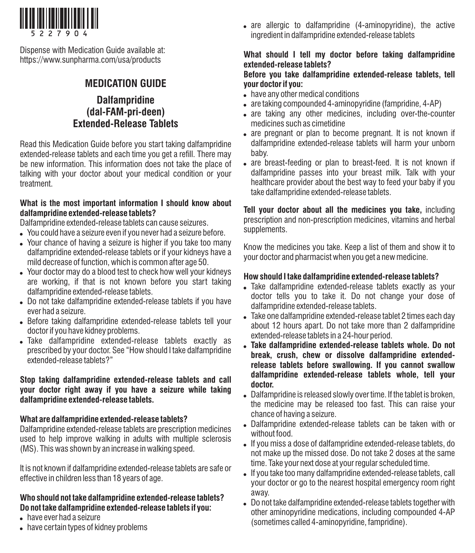

Dispense with Medication Guide available at: https://www.sunpharma.com/usa/products

# **MEDICATION GUIDE**

## **Dalfampridine (dal-FAM-pri-deen) Extended-Release Tablets**

Read this Medication Guide before you start taking dalfampridine extended-release tablets and each time you get a refill. There may be new information. This information does not take the place of talking with your doctor about your medical condition or your treatment.

#### **What is the most important information I should know about dalfampridine extended-release tablets?**

Dalfampridine extended-release tablets can cause seizures.

- . You could have a seizure even if you never had a seizure before.
- . Your chance of having a seizure is higher if you take too many dalfampridine extended-release tablets or if your kidneys have a mild decrease of function, which is common after age 50.
- . Your doctor may do a blood test to check how well your kidneys are working, if that is not known before you start taking dalfampridine extended-release tablets.
- . Do not take dalfampridine extended-release tablets if you have ever had a seizure.
- . Before taking dalfampridine extended-release tablets tell your doctor if you have kidney problems.
- . Take dalfampridine extended-release tablets exactly as prescribed by your doctor. See "How should I take dalfampridine extended-release tablets?"

#### **Stop taking dalfampridine extended-release tablets and call your doctor right away if you have a seizure while taking dalfampridine extended-release tablets.**

## **What are dalfampridine extended-release tablets?**

Dalfampridine extended-release tablets are prescription medicines used to help improve walking in adults with multiple sclerosis (MS). This was shown by an increase in walking speed.

It is not known if dalfampridine extended-release tablets are safe or effective in children less than 18 years of age.

## **Who should not take dalfampridine extended-release tablets? Do not take dalfampridine extended-release tablets if you:**

- have ever had a seizure
- . have certain types of kidney problems

• are allergic to dalfampridine (4-aminopyridine), the active ingredient in dalfampridine extended-release tablets

### **What should I tell my doctor before taking dalfampridine extended-release tablets?**

#### **Before you take dalfampridine extended-release tablets, tell your doctor if you:**

- . have any other medical conditions
- are taking compounded 4-aminopyridine (fampridine, 4-AP)
- are taking any other medicines, including over-the-counter medicines such as cimetidine
- are pregnant or plan to become pregnant. It is not known if dalfampridine extended-release tablets will harm your unborn baby.
- are breast-feeding or plan to breast-feed. It is not known if dalfampridine passes into your breast milk. Talk with your healthcare provider about the best way to feed your baby if you take dalfampridine extended-release tablets.

**Tell your doctor about all the medicines you take,** including prescription and non-prescription medicines, vitamins and herbal supplements.

Know the medicines you take. Keep a list of them and show it to your doctor and pharmacist when you get a new medicine.

#### **How should I take dalfampridine extended-release tablets?**

- . Take dalfampridine extended-release tablets exactly as your doctor tells you to take it. Do not change your dose of dalfampridine extended-release tablets.
- . Take one dalfampridine extended-release tablet 2 times each day about 12 hours apart. Do not take more than 2 dalfampridine extended-release tablets in a 24-hour period.
- ! **Take dalfampridine extended-release tablets whole. Do not break, crush, chew or dissolve dalfampridine extendedrelease tablets before swallowing. If you cannot swallow dalfampridine extended-release tablets whole, tell your doctor.**
- . Dalfampridine is released slowly over time. If the tablet is broken, the medicine may be released too fast. This can raise your chance of having a seizure.
- . Dalfampridine extended-release tablets can be taken with or without food.
- ! If you miss a dose of dalfampridine extended-release tablets, do not make up the missed dose. Do not take 2 doses at the same time. Take your next dose at your regular scheduled time.
- . If you take too many dalfampridine extended-release tablets, call your doctor or go to the nearest hospital emergency room right away.
- . Do not take dalfampridine extended-release tablets together with other aminopyridine medications, including compounded 4-AP (sometimes called 4-aminopyridine, fampridine).